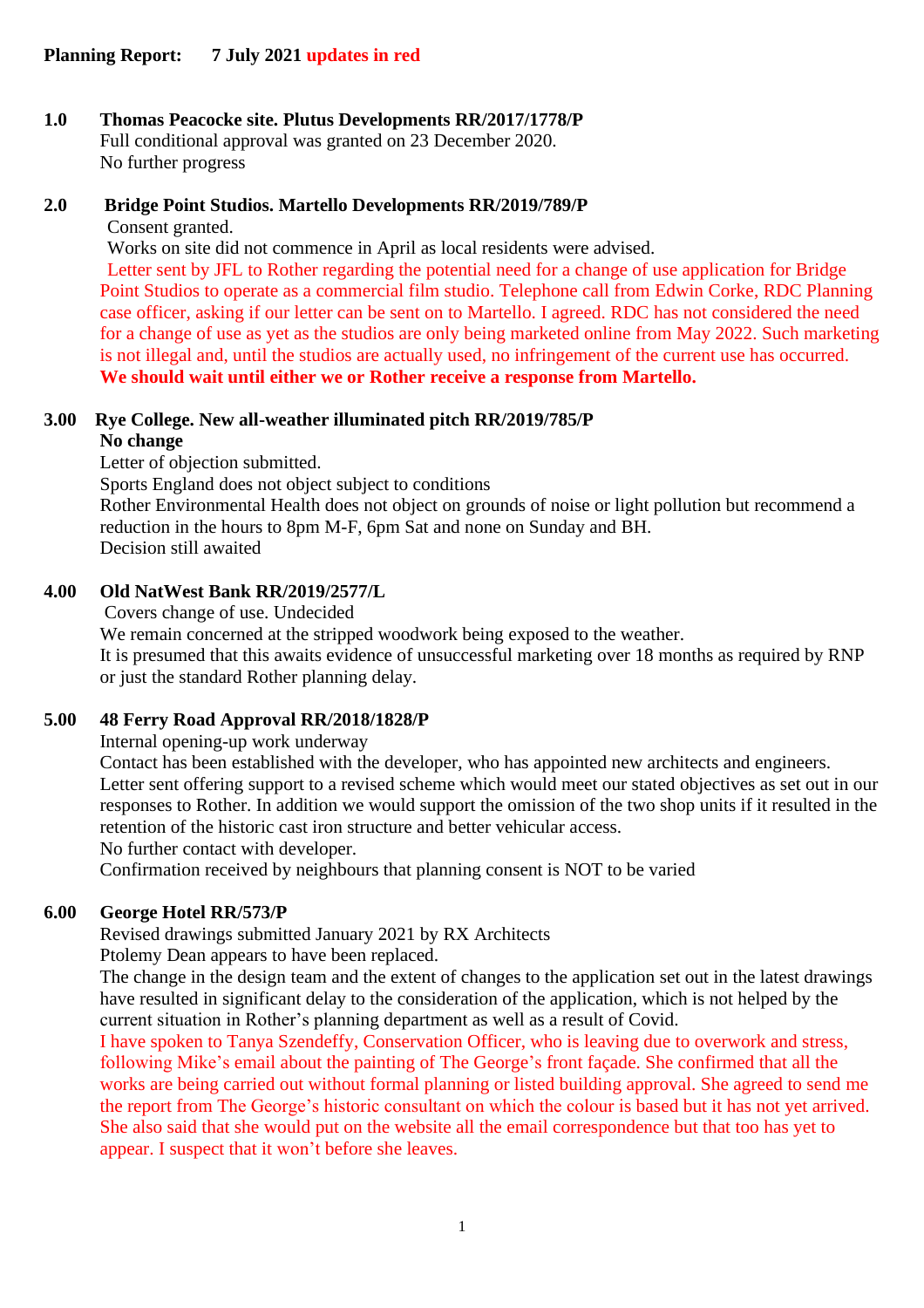# **1.0 Thomas Peacocke site. Plutus Developments RR/2017/1778/P**

Full conditional approval was granted on 23 December 2020. No further progress

# **2.0 Bridge Point Studios. Martello Developments RR/2019/789/P**

Consent granted.

Works on site did not commence in April as local residents were advised.

Letter sent by JFL to Rother regarding the potential need for a change of use application for Bridge Point Studios to operate as a commercial film studio. Telephone call from Edwin Corke, RDC Planning case officer, asking if our letter can be sent on to Martello. I agreed. RDC has not considered the need for a change of use as yet as the studios are only being marketed online from May 2022. Such marketing is not illegal and, until the studios are actually used, no infringement of the current use has occurred. **We should wait until either we or Rother receive a response from Martello.**

#### **3.00 Rye College. New all-weather illuminated pitch RR/2019/785/P No change**

Letter of objection submitted.

Sports England does not object subject to conditions

Rother Environmental Health does not object on grounds of noise or light pollution but recommend a reduction in the hours to 8pm M-F, 6pm Sat and none on Sunday and BH. Decision still awaited

# **4.00 Old NatWest Bank RR/2019/2577/L**

Covers change of use. Undecided

We remain concerned at the stripped woodwork being exposed to the weather.

It is presumed that this awaits evidence of unsuccessful marketing over 18 months as required by RNP or just the standard Rother planning delay.

# **5.00 48 Ferry Road Approval RR/2018/1828/P**

Internal opening-up work underway

Contact has been established with the developer, who has appointed new architects and engineers. Letter sent offering support to a revised scheme which would meet our stated objectives as set out in our responses to Rother. In addition we would support the omission of the two shop units if it resulted in the retention of the historic cast iron structure and better vehicular access.

No further contact with developer.

Confirmation received by neighbours that planning consent is NOT to be varied

# **6.00 George Hotel RR/573/P**

Revised drawings submitted January 2021 by RX Architects

Ptolemy Dean appears to have been replaced.

The change in the design team and the extent of changes to the application set out in the latest drawings have resulted in significant delay to the consideration of the application, which is not helped by the current situation in Rother's planning department as well as a result of Covid.

I have spoken to Tanya Szendeffy, Conservation Officer, who is leaving due to overwork and stress, following Mike's email about the painting of The George's front façade. She confirmed that all the works are being carried out without formal planning or listed building approval. She agreed to send me the report from The George's historic consultant on which the colour is based but it has not yet arrived. She also said that she would put on the website all the email correspondence but that too has yet to appear. I suspect that it won't before she leaves.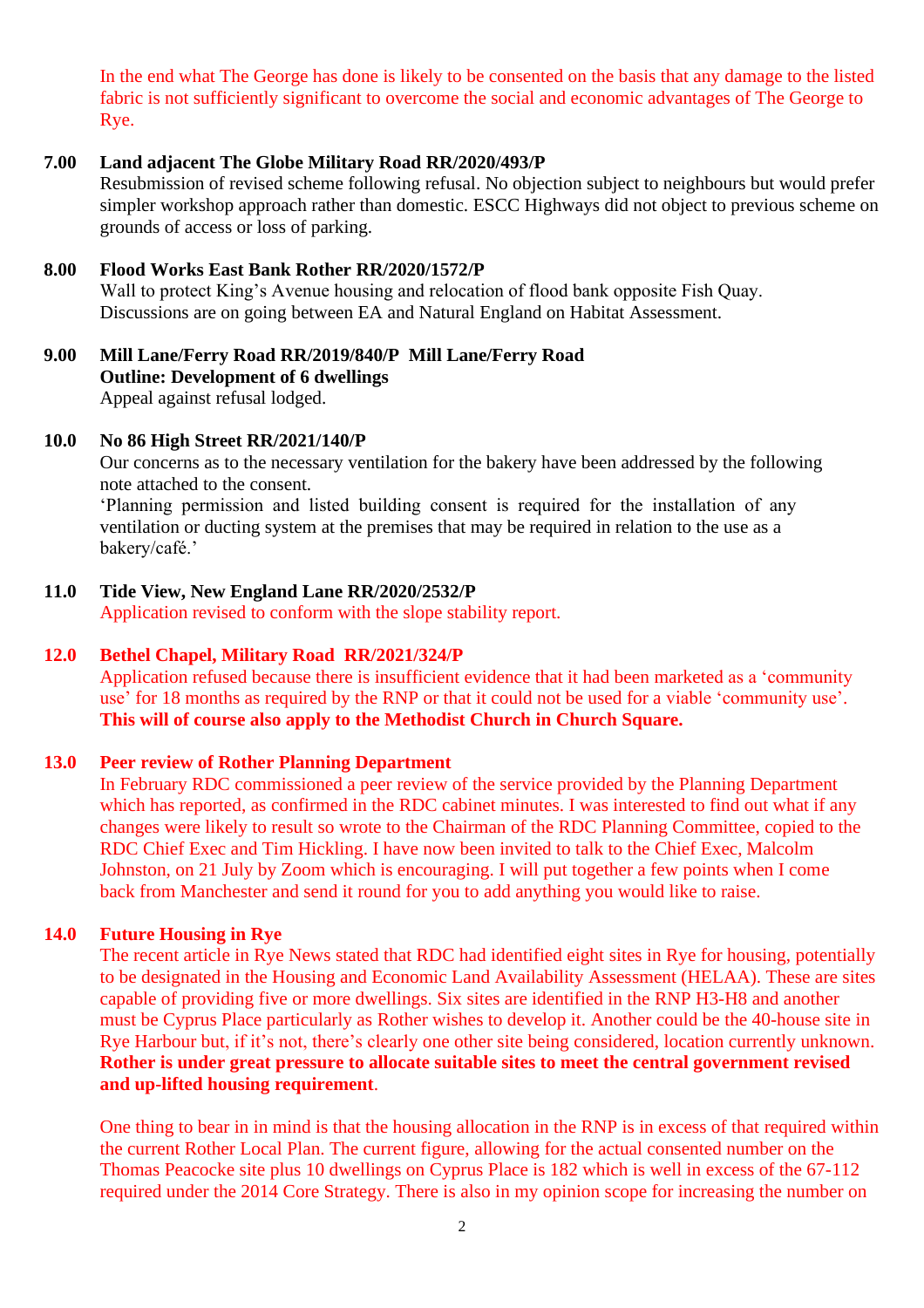In the end what The George has done is likely to be consented on the basis that any damage to the listed fabric is not sufficiently significant to overcome the social and economic advantages of The George to Rye.

## **7.00 Land adjacent The Globe Military Road RR/2020/493/P**

Resubmission of revised scheme following refusal. No objection subject to neighbours but would prefer simpler workshop approach rather than domestic. ESCC Highways did not object to previous scheme on grounds of access or loss of parking.

#### **8.00 Flood Works East Bank Rother RR/2020/1572/P**

Wall to protect King's Avenue housing and relocation of flood bank opposite Fish Quay. Discussions are on going between EA and Natural England on Habitat Assessment.

## **9.00 Mill Lane/Ferry Road RR/2019/840/P Mill Lane/Ferry Road Outline: Development of 6 dwellings** Appeal against refusal lodged.

#### **10.0 No 86 High Street RR/2021/140/P**

Our concerns as to the necessary ventilation for the bakery have been addressed by the following note attached to the consent.

'Planning permission and listed building consent is required for the installation of any ventilation or ducting system at the premises that may be required in relation to the use as a bakery/café.'

## **11.0 Tide View, New England Lane RR/2020/2532/P**

Application revised to conform with the slope stability report.

## **12.0 Bethel Chapel, Military Road RR/2021/324/P**

Application refused because there is insufficient evidence that it had been marketed as a 'community use' for 18 months as required by the RNP or that it could not be used for a viable 'community use'. **This will of course also apply to the Methodist Church in Church Square.**

#### **13.0 Peer review of Rother Planning Department**

In February RDC commissioned a peer review of the service provided by the Planning Department which has reported, as confirmed in the RDC cabinet minutes. I was interested to find out what if any changes were likely to result so wrote to the Chairman of the RDC Planning Committee, copied to the RDC Chief Exec and Tim Hickling. I have now been invited to talk to the Chief Exec, Malcolm Johnston, on 21 July by Zoom which is encouraging. I will put together a few points when I come back from Manchester and send it round for you to add anything you would like to raise.

## **14.0 Future Housing in Rye**

The recent article in Rye News stated that RDC had identified eight sites in Rye for housing, potentially to be designated in the Housing and Economic Land Availability Assessment (HELAA). These are sites capable of providing five or more dwellings. Six sites are identified in the RNP H3-H8 and another must be Cyprus Place particularly as Rother wishes to develop it. Another could be the 40-house site in Rye Harbour but, if it's not, there's clearly one other site being considered, location currently unknown. **Rother is under great pressure to allocate suitable sites to meet the central government revised and up-lifted housing requirement**.

One thing to bear in in mind is that the housing allocation in the RNP is in excess of that required within the current Rother Local Plan. The current figure, allowing for the actual consented number on the Thomas Peacocke site plus 10 dwellings on Cyprus Place is 182 which is well in excess of the 67-112 required under the 2014 Core Strategy. There is also in my opinion scope for increasing the number on